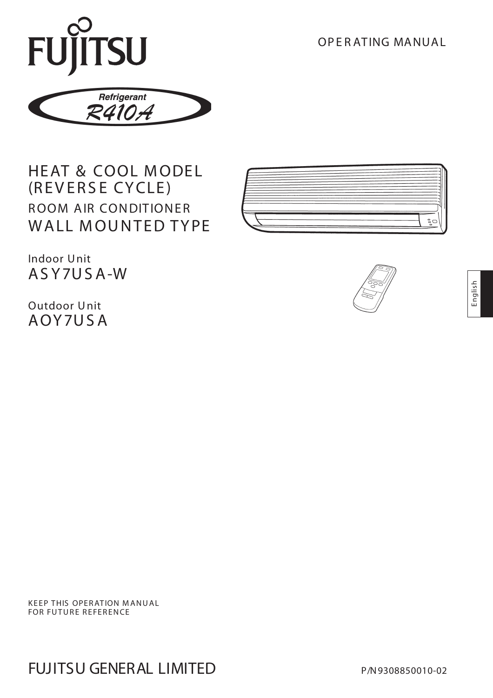OP E R ATING MANUAL



# HEAT & COOL MODEL (REV ERS E CYCLE) ROOM AIR CONDITIONER WALL MOUNTED TYPE



Indoor Unit AS Y7US A-W

Outdoor Unit AOY7US A



**KEEP THIS OPERATION MANUAL** FOR FUTURE REFERENCE

FUJITSU GENERAL LIMITED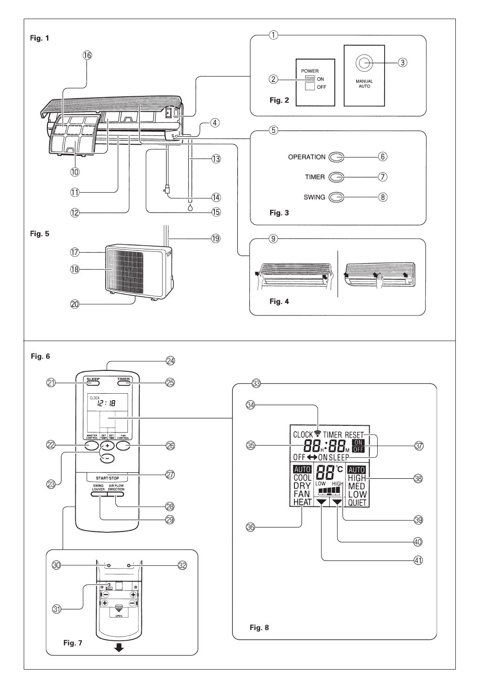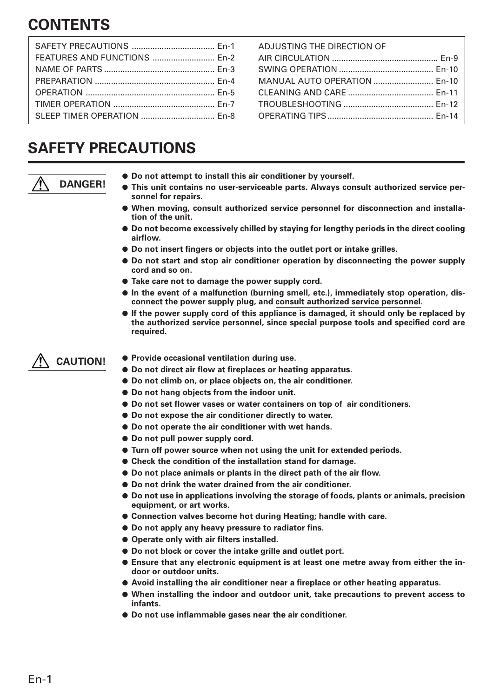# **CONTENTS**

| SLEEP TIMER OPERATION  En-8 |  |
|-----------------------------|--|

ADJUSTING THE DIRECTION OF AIR CIRCULATION .............................................. En-9 SWING OPERATION ......................................... En-10 MANUAL AUTO OPERATION .......................... En-10 CLEANING AND CARE ..................................... En-11 TROUBLESHOOTING ....................................... En-12 OPERATING TIPS.............................................. En-14

# **SAFETY PRECAUTIONS**



- **Do not attempt to install this air conditioner by yourself.**
- **This unit contains no user-serviceable parts. Always consult authorized service personnel for repairs.**
- When moving, consult authorized service personnel for disconnection and installa**tion of the unit.**
- **Do not become excessively chilled by staying for lengthy periods in the direct cooling airflow.**
- **Do not insert fingers or objects into the outlet port or intake grilles.**
- **Do not start and stop air conditioner operation by disconnecting the power supply cord and so on.**
- **Take care not to damage the power supply cord.**
- **In the event of a malfunction (burning smell, etc.), immediately stop operation, disconnect the power supply plug, and consult authorized service personnel.**
- **If the power supply cord of this appliance is damaged, it should only be replaced by the authorized service personnel, since special purpose tools and specified cord are required.**

## **CAUTION!**

- **Provide occasional ventilation during use.**
- **Do not direct air flow at fireplaces or heating apparatus.**
- **Do not climb on, or place objects on, the air conditioner.**
- **Do not hang objects from the indoor unit.**
- **Do not set flower vases or water containers on top of air conditioners.**
- **Do not expose the air conditioner directly to water.**
- **Do not operate the air conditioner with wet hands.**
- **Do not pull power supply cord.**
- **Turn off power source when not using the unit for extended periods.**
- **Check the condition of the installation stand for damage.**
- **Do not place animals or plants in the direct path of the air flow.**
- **Do not drink the water drained from the air conditioner.**
- **Do not use in applications involving the storage of foods, plants or animals, precision equipment, or art works.**
- **Connection valves become hot during Heating; handle with care.**
- **Do not apply any heavy pressure to radiator fins.**
- **Operate only with air filters installed.**
- **Do not block or cover the intake grille and outlet port.**
- Ensure that any electronic equipment is at least one metre away from either the in**door or outdoor units.**
- **Avoid installing the air conditioner near a fireplace or other heating apparatus.**
- **When installing the indoor and outdoor unit, take precautions to prevent access to infants.**
- **Do not use inflammable gases near the air conditioner.**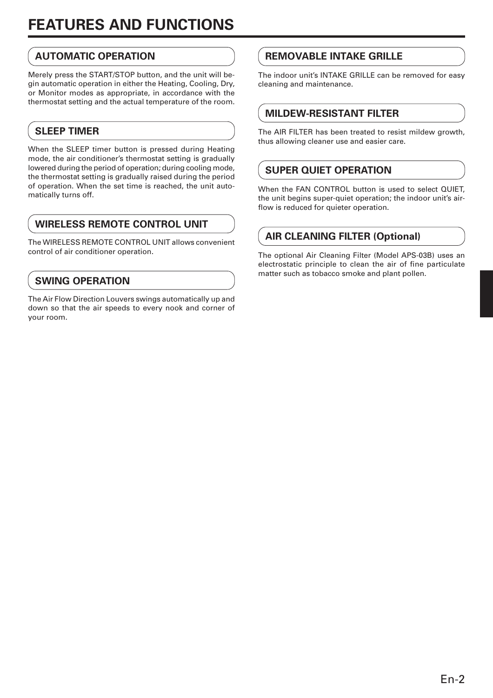# **FEATURES AND FUNCTIONS**

# **AUTOMATIC OPERATION**

Merely press the START/STOP button, and the unit will begin automatic operation in either the Heating, Cooling, Dry, or Monitor modes as appropriate, in accordance with the thermostat setting and the actual temperature of the room.

# **SLEEP TIMER**

When the SLEEP timer button is pressed during Heating mode, the air conditioner's thermostat setting is gradually lowered during the period of operation; during cooling mode, the thermostat setting is gradually raised during the period of operation. When the set time is reached, the unit automatically turns off.

# **WIRELESS REMOTE CONTROL UNIT**

The WIRELESS REMOTE CONTROL UNIT allows convenient control of air conditioner operation.

# **SWING OPERATION**

The Air Flow Direction Louvers swings automatically up and down so that the air speeds to every nook and corner of your room.

# **REMOVABLE INTAKE GRILLE**

The indoor unit's INTAKE GRILLE can be removed for easy cleaning and maintenance.

## **MILDEW-RESISTANT FILTER**

The AIR FILTER has been treated to resist mildew growth, thus allowing cleaner use and easier care.

## **SUPER QUIET OPERATION**

When the FAN CONTROL button is used to select OUIET. the unit begins super-quiet operation; the indoor unit's airflow is reduced for quieter operation.

# **AIR CLEANING FILTER (Optional)**

The optional Air Cleaning Filter (Model APS-03B) uses an electrostatic principle to clean the air of fine particulate matter such as tobacco smoke and plant pollen.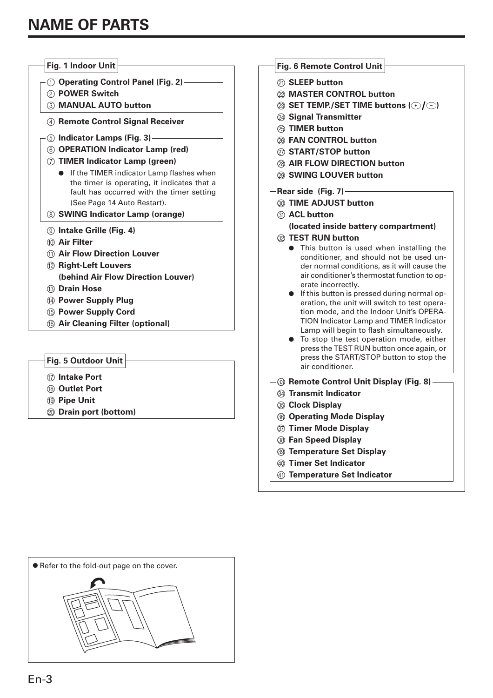| Fig. 1 Indoor Unit                                                                       | Fig. 6 Remote Control Unit                                                                  |
|------------------------------------------------------------------------------------------|---------------------------------------------------------------------------------------------|
| 1 Operating Control Panel (Fig. 2) -                                                     | 20 SLEEP button                                                                             |
| 2 POWER Switch                                                                           | 22 MASTER CONTROL button                                                                    |
| 3 MANUAL AUTO button                                                                     | $\otimes$ SET TEMP./SET TIME buttons ( $\odot$ / $\odot$ )                                  |
| 4 Remote Control Signal Receiver                                                         | 24 Signal Transmitter                                                                       |
|                                                                                          | <b>TIMER button</b>                                                                         |
| 5 Indicator Lamps (Fig. 3)—                                                              | @ FAN CONTROL button                                                                        |
| 6 OPERATION Indicator Lamp (red)                                                         | 27 START/STOP button                                                                        |
| <b>TIMER Indicator Lamp (green)</b><br>(7)                                               | 28 AIR FLOW DIRECTION button                                                                |
| • If the TIMER indicator Lamp flashes when                                               | 29 SWING LOUVER button                                                                      |
| the timer is operating, it indicates that a<br>fault has occurred with the timer setting | Rear side (Fig. $7$ ) -                                                                     |
| (See Page 14 Auto Restart).                                                              | <b>33 TIME ADJUST button</b>                                                                |
| 8 SWING Indicator Lamp (orange)                                                          | 31) ACL button                                                                              |
| <b>9 Intake Grille (Fig. 4)</b>                                                          | (located inside battery compartment)                                                        |
| <b>Air Filter</b><br>(10)                                                                | 22 TEST RUN button                                                                          |
| (1) Air Flow Direction Louver                                                            | • This button is used when installing the                                                   |
| 12 Right-Left Louvers                                                                    | conditioner, and should not be used un-                                                     |
| (behind Air Flow Direction Louver)                                                       | der normal conditions, as it will cause the<br>air conditioner's thermostat function to op- |
| <b>13 Drain Hose</b>                                                                     | erate incorrectly.                                                                          |
| (4) Power Supply Plug                                                                    | • If this button is pressed during normal op-                                               |
| <b>15 Power Supply Cord</b>                                                              | eration, the unit will switch to test opera-<br>tion mode, and the Indoor Unit's OPERA-     |
| <b>66 Air Cleaning Filter (optional)</b>                                                 | <b>TION Indicator Lamp and TIMER Indicator</b>                                              |
|                                                                                          | Lamp will begin to flash simultaneously.                                                    |
|                                                                                          | To stop the test operation mode, either                                                     |
|                                                                                          | press the TEST RUN button once again, or<br>press the START/STOP button to stop the         |
| Fig. 5 Outdoor Unit                                                                      | air conditioner.                                                                            |

- G **Intake Port**
- **(8)** Outlet Port
- **(19) Pipe Unit**
- $@$  Drain port (bottom)



**W** Remote Control Unit Display (Fig. 8) -X **Transmit Indicator**

- **33 Clock Display**
- $\circledR$  Operating Mode Display
- [ **Timer Mode Display**
- \ **Fan Speed Display**
- ] **Temperature Set Display**
- \_ **Timer Set Indicator**
- **41) Temperature Set Indicator**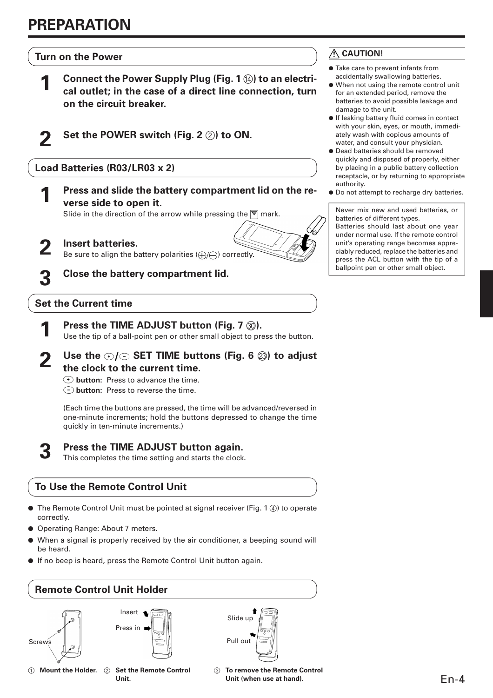**Turn on the Power**

- **Connect the Power Supply Plug (Fig. 1**  $\Omega$ **) to an electrical outlet; in the case of a direct line connection, turn on the circuit breaker.**
- 
- **2 Set the POWER switch (Fig. 2** 2**) to ON.**

**Load Batteries (R03/LR03 x 2)**

**1 Press and slide the battery compartment lid on the reverse side to open it.**

Slide in the direction of the arrow while pressing the  $\overline{\overline{\overline{}}\overline{\overline{}}\overline{\overline{}}\overline{\overline{}}\overline{\overline{}}\overline{\overline{}}\overline{\overline{}}\overline{\overline{}}\overline{\overline{}}\overline{\overline{}}\overline{\overline{}}\overline{\overline{}}\overline{\overline{}}\overline{\overline{}}\overline{\overline{}}\overline{\overline{}}\overline{\overline{}}\overline{\overline{}}\overline{\overline{}}\overline{\overline{}}\over$ 

- **2 Insert batteries.**<br>Be sure to align the battery polarities  $(\bigoplus/\bigoplus)$  correctly.
	- **3 Close the battery compartment lid.**

## **Set the Current time**

- **Press the TIME ADJUST button (Fig. 7**  $\circledR$ **).** Use the tip of a ball-point pen or other small object to press the button.
- Use the  $\odot$ / $\odot$  SET TIME buttons (Fig. 6  $\otimes$ ) to adjust **the clock to the current time.**
	- **button:** Press to advance the time.
	- **button:** Press to reverse the time.

(Each time the buttons are pressed, the time will be advanced/reversed in one-minute increments; hold the buttons depressed to change the time quickly in ten-minute increments.)

**3 Press the TIME ADJUST button again.**

This completes the time setting and starts the clock.

## **To Use the Remote Control Unit**

- $\bullet$  The Remote Control Unit must be pointed at signal receiver (Fig. 1  $\circled{4}$ ) to operate correctly.
- Operating Range: About 7 meters.
- When a signal is properly received by the air conditioner, a beeping sound will be heard.
- If no beep is heard, press the Remote Control Unit button again.



## **CAUTION!**

- Take care to prevent infants from accidentally swallowing batteries.
- When not using the remote control unit for an extended period, remove the batteries to avoid possible leakage and damage to the unit.
- If leaking battery fluid comes in contact with your skin, eyes, or mouth, immediately wash with copious amounts of water, and consult your physician.
- Dead batteries should be removed quickly and disposed of properly, either by placing in a public battery collection receptacle, or by returning to appropriate authority.
- Do not attempt to recharge dry batteries.

Never mix new and used batteries, or batteries of different types. Batteries should last about one year

under normal use. If the remote control unit's operating range becomes appreciably reduced, replace the batteries and press the ACL button with the tip of a ballpoint pen or other small object.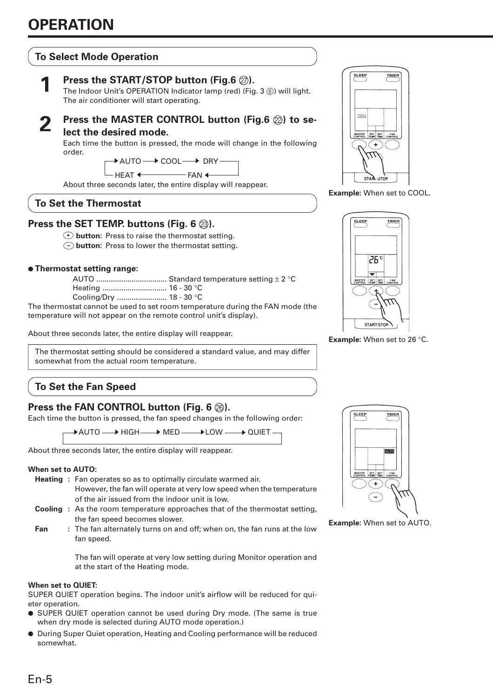## **To Select Mode Operation**



## **1 Press the START/STOP button (Fig.6** Q**).**

The Indoor Unit's OPERATION Indicator lamp (red) (Fig. 3 ®) will light. The air conditioner will start operating.

## **Press the MASTER CONTROL button (Fig.6**  $\oslash$ **) to select the desired mode.**

Each time the button is pressed, the mode will change in the following order.

 $\overline{\phantom{a}}$  auto $\longrightarrow$  cool $\longrightarrow$  dry

HEAT  $\leftarrow$  FAN  $\leftarrow$  $\blacklozenge$ 

About three seconds later, the entire display will reappear.

### **To Set the Thermostat**

### **Press the SET TEMP. buttons (Fig. 6**  $\textcircled{3}$ **).**

**button:** Press to raise the thermostat setting.

**button:** Press to lower the thermostat setting.

#### ● **Thermostat setting range:**

| $C_{\alpha\alpha}$ $\sum_{\alpha}$ $\sum_{\alpha}$ | 10.200 |  |
|----------------------------------------------------|--------|--|

Cooling/Dry ........................ 18 - 30 °C

The thermostat cannot be used to set room temperature during the FAN mode (the temperature will not appear on the remote control unit's display).

About three seconds later, the entire display will reappear.

The thermostat setting should be considered a standard value, and may differ somewhat from the actual room temperature.

# **To Set the Fan Speed**

## **Press the FAN CONTROL button (Fig. 6**  $\circledcirc$ **).**

Each time the button is pressed, the fan speed changes in the following order:

→ AUTO ——→ HIGH ——→ MED ———→ LOW ——→ QUIET

About three seconds later, the entire display will reappear.

#### **When set to AUTO:**

- **Heating :** Fan operates so as to optimally circulate warmed air. However, the fan will operate at very low speed when the temperature of the air issued from the indoor unit is low.
- **Cooling :** As the room temperature approaches that of the thermostat setting, the fan speed becomes slower.
- **Fan** : The fan alternately turns on and off; when on, the fan runs at the low fan speed.

The fan will operate at very low setting during Monitor operation and at the start of the Heating mode.

#### **When set to QUIET:**

SUPER QUIET operation begins. The indoor unit's airflow will be reduced for quieter operation.

- SUPER QUIET operation cannot be used during Dry mode. (The same is true when dry mode is selected during AUTO mode operation.)
- During Super Quiet operation, Heating and Cooling performance will be reduced somewhat.



**Example:** When set to COOL.



**Example:** When set to 26 °C.



**Example:** When set to AUTO.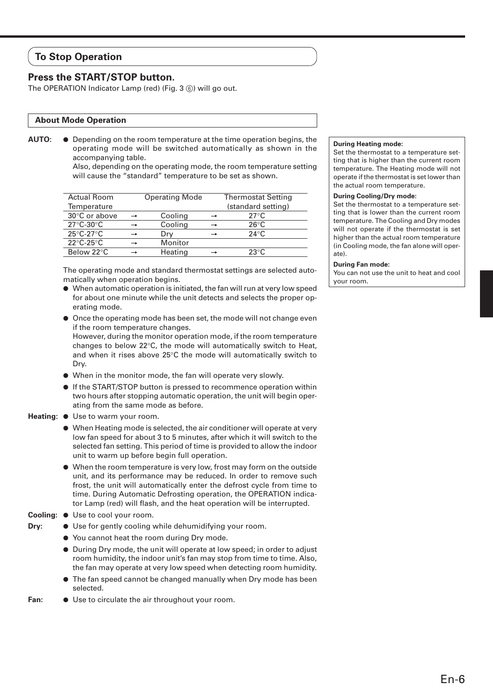## **To Stop Operation**

### **Press the START/STOP button.**

The OPERATION Indicator Lamp (red) (Fig. 3 ®) will go out.

#### **About Mode Operation**

**AUTO:** ● Depending on the room temperature at the time operation begins, the operating mode will be switched automatically as shown in the accompanying table.

Also, depending on the operating mode, the room temperature setting will cause the "standard" temperature to be set as shown.

| <b>Actual Room</b>             | <b>Operating Mode</b> | <b>Thermostat Setting</b> |
|--------------------------------|-----------------------|---------------------------|
| Temperature                    |                       | (standard setting)        |
| 30°C or above                  | Cooling               | $27^{\circ}$ C            |
| $27^{\circ}$ C-30 $^{\circ}$ C | Cooling               | $26^{\circ}$ C            |
| $25^{\circ}$ C-27 $^{\circ}$ C | Drv                   | $24^{\circ}$ C            |
| $22^{\circ}$ C-25 $^{\circ}$ C | Monitor               |                           |
| Below 22°C                     | Heating               | $23^{\circ}$ C            |

The operating mode and standard thermostat settings are selected automatically when operation begins.

● When automatic operation is initiated, the fan will run at very low speed for about one minute while the unit detects and selects the proper operating mode.

● Once the operating mode has been set, the mode will not change even if the room temperature changes. However, during the monitor operation mode, if the room temperature changes to below 22°C, the mode will automatically switch to Heat, and when it rises above 25°C the mode will automatically switch to Dry.

- When in the monitor mode, the fan will operate very slowly.
- If the START/STOP button is pressed to recommence operation within two hours after stopping automatic operation, the unit will begin operating from the same mode as before.
- **Heating: Use to warm your room.** 
	- When Heating mode is selected, the air conditioner will operate at very low fan speed for about 3 to 5 minutes, after which it will switch to the selected fan setting. This period of time is provided to allow the indoor unit to warm up before begin full operation.
	- When the room temperature is very low, frost may form on the outside unit, and its performance may be reduced. In order to remove such frost, the unit will automatically enter the defrost cycle from time to time. During Automatic Defrosting operation, the OPERATION indicator Lamp (red) will flash, and the heat operation will be interrupted.
- **Cooling:** Use to cool your room.
- 
- **Dry: ●** Use for gently cooling while dehumidifying your room.
	- You cannot heat the room during Dry mode.
	- During Dry mode, the unit will operate at low speed; in order to adjust room humidity, the indoor unit's fan may stop from time to time. Also, the fan may operate at very low speed when detecting room humidity.
	- The fan speed cannot be changed manually when Dry mode has been selected.
- **Fan: ●** Use to circulate the air throughout your room.

#### **During Heating mode:**

Set the thermostat to a temperature setting that is higher than the current room temperature. The Heating mode will not operate if the thermostat is set lower than the actual room temperature.

#### **During Cooling/Dry mode:**

Set the thermostat to a temperature setting that is lower than the current room temperature. The Cooling and Dry modes will not operate if the thermostat is set higher than the actual room temperature (in Cooling mode, the fan alone will operate).

#### **During Fan mode:**

You can not use the unit to heat and cool your room.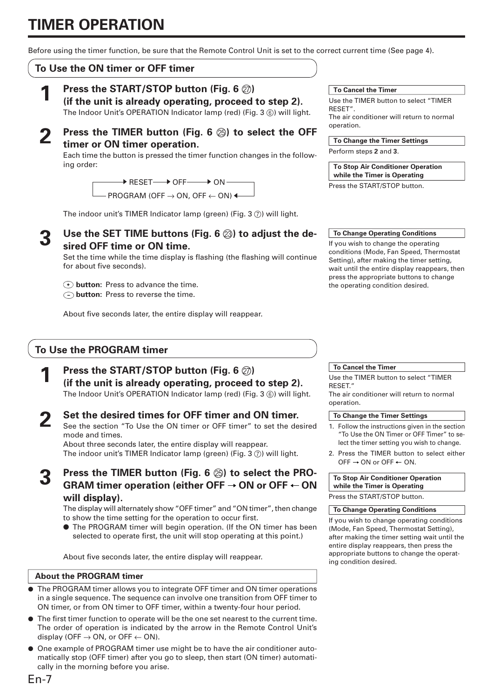# **TIMER OPERATION**

Before using the timer function, be sure that the Remote Control Unit is set to the correct current time (See page 4).

## **To Use the ON timer or OFF timer**

**1 Press the START/STOP button (Fig. 6** Q**) (if the unit is already operating, proceed to step 2).**

The Indoor Unit's OPERATION Indicator lamp (red) (Fig. 3  $\circledS$ ) will light.

**2 Press the TIMER button (Fig. 6**  $\circledcirc$ **) to select the OFF timer or ON timer operation.**

Each time the button is pressed the timer function changes in the following order:

> $\overline{\phantom{a}}$  RESET $\longrightarrow$  OFF $\longrightarrow$  ON <code>PROGRAM</code> (OFF  $\rightarrow$  ON, OFF  $\leftarrow$  ON)  $\blacktriangleleft$

The indoor unit's TIMER Indicator lamp (green) (Fig. 3  $(7)$ ) will light.

Use the SET TIME buttons (Fig. 6  $\textcircled{a}$ ) to adjust the de**sired OFF time or ON time.**

Set the time while the time display is flashing (the flashing will continue for about five seconds).

 **button:** Press to advance the time.

 **button:** Press to reverse the time.

About five seconds later, the entire display will reappear.

## **To Use the PROGRAM timer**

**1 Press the START/STOP button (Fig. 6** Q**) (if the unit is already operating, proceed to step 2).** The Indoor Unit's OPERATION Indicator lamp (red) (Fig. 3 (6) will light.

**2 Set the desired times for OFF timer and ON timer.** See the section "To Use the ON timer or OFF timer" to set the desired mode and times. About three seconds later, the entire display will reappear.

The indoor unit's TIMER Indicator lamp (green) (Fig. 3  $(7)$ ) will light.

**3 Press the TIMER button (Fig. 6 ⊗) to select the PRO-**<br>GRAM timer operation (either OFF → ON or OFF ← ON **will display).**

The display will alternately show "OFF timer" and "ON timer", then change to show the time setting for the operation to occur first.

● The PROGRAM timer will begin operation. (If the ON timer has been selected to operate first, the unit will stop operating at this point.)

About five seconds later, the entire display will reappear.

#### **About the PROGRAM timer**

- The PROGRAM timer allows you to integrate OFF timer and ON timer operations in a single sequence. The sequence can involve one transition from OFF timer to ON timer, or from ON timer to OFF timer, within a twenty-four hour period.
- The first timer function to operate will be the one set nearest to the current time. The order of operation is indicated by the arrow in the Remote Control Unit's display (OFF  $\rightarrow$  ON, or OFF  $\leftarrow$  ON).
- One example of PROGRAM timer use might be to have the air conditioner automatically stop (OFF timer) after you go to sleep, then start (ON timer) automatically in the morning before you arise.

#### **To Cancel the Timer**

Use the TIMER button to select "TIMER RESET". The air conditioner will return to normal operation.

**To Change the Timer Settings**

Perform steps **2** and **3**.

**To Stop Air Conditioner Operation while the Timer is Operating**

Press the START/STOP button.

#### **To Change Operating Conditions**

If you wish to change the operating conditions (Mode, Fan Speed, Thermostat Setting), after making the timer setting, wait until the entire display reappears, then press the appropriate buttons to change the operating condition desired.

#### **To Cancel the Timer**

Use the TIMER button to select "TIMER RESET." The air conditioner will return to normal operation.

#### **To Change the Timer Settings**

- 1. Follow the instructions given in the section "To Use the ON Timer or OFF Timer" to select the timer setting you wish to change.
- 2. Press the TIMER button to select either OFF  $\rightarrow$  ON or OFF  $\leftarrow$  ON.

**To Stop Air Conditioner Operation while the Timer is Operating** Press the START/STOP button.

#### **To Change Operating Conditions**

If you wish to change operating conditions (Mode, Fan Speed, Thermostat Setting), after making the timer setting wait until the entire display reappears, then press the appropriate buttons to change the operating condition desired.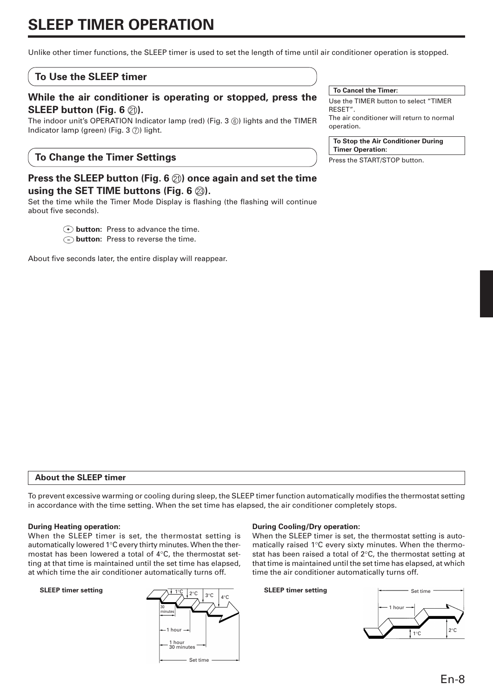# **SLEEP TIMER OPERATION**

Unlike other timer functions, the SLEEP timer is used to set the length of time until air conditioner operation is stopped.

#### **To Use the SLEEP timer**

#### **While the air conditioner is operating or stopped, press the SLEEP button (Fig. 6**  $\textcircled{2}$ **).**

The indoor unit's OPERATION Indicator lamp (red) (Fig. 3 6) lights and the TIMER Indicator lamp (green) (Fig.  $3$   $(7)$ ) light.

#### **To Change the Timer Settings**

## **Press the SLEEP button (Fig. 6** K**) once again and set the time using the SET TIME buttons (Fig. 6**  $\textcircled{3}$ **).**

Set the time while the Timer Mode Display is flashing (the flashing will continue about five seconds).

*T* button: Press to advance the time.

 **button:** Press to reverse the time.

About five seconds later, the entire display will reappear.

#### **To Cancel the Timer:**

Use the TIMER button to select "TIMER RESET". The air conditioner will return to normal operation.

#### **To Stop the Air Conditioner During Timer Operation:**

Press the START/STOP button.

#### **About the SLEEP timer**

To prevent excessive warming or cooling during sleep, the SLEEP timer function automatically modifies the thermostat setting in accordance with the time setting. When the set time has elapsed, the air conditioner completely stops.

#### **During Heating operation:**

When the SLEEP timer is set, the thermostat setting is automatically lowered 1°C every thirty minutes. When the thermostat has been lowered a total of 4°C, the thermostat setting at that time is maintained until the set time has elapsed, at which time the air conditioner automatically turns off.



#### **During Cooling/Dry operation:**

When the SLEEP timer is set, the thermostat setting is automatically raised 1°C every sixty minutes. When the thermostat has been raised a total of 2°C, the thermostat setting at that time is maintained until the set time has elapsed, at which time the air conditioner automatically turns off.

#### **SLEEP timer setting**

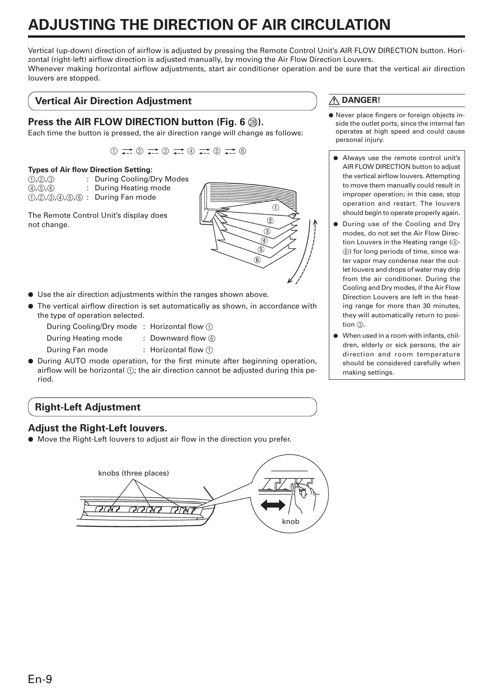# **ADJUSTING THE DIRECTION OF AIR CIRCULATION**

Vertical (up-down) direction of airflow is adjusted by pressing the Remote Control Unit's AIR FLOW DIRECTION button. Horizontal (right-left) airflow direction is adjusted manually, by moving the Air Flow Direction Louvers. Whenever making horizontal airflow adjustments, start air conditioner operation and be sure that the vertical air direction louvers are stopped.

## **Vertical Air Direction Adjustment**

## **Press the AIR FLOW DIRECTION button (Fig. 6**  $\textcircled{2}$ **).**

Each time the button is pressed, the air direction range will change as follows:

 $\bigoplus$   $\rightarrow$   $\bigoplus$   $\rightarrow$   $\bigoplus$   $\rightarrow$   $\bigoplus$   $\rightarrow$   $\bigoplus$   $\rightarrow$   $\bigoplus$ 

#### **Types of Air flow Direction Setting:**

| (1, 2, 3)     | : During Cooling/Dry Modes             |
|---------------|----------------------------------------|
| (4), (5), (6) | : During Heating mode                  |
|               | $(1, 2, 3, 4, 5, 6)$ : During Fan mode |
|               |                                        |

The Remote Control Unit's display does not change.



- Use the air direction adjustments within the ranges shown above.
- The vertical airflow direction is set automatically as shown, in accordance with the type of operation selected.
	- During Cooling/Dry mode : Horizontal flow 1
		-
	- During Heating mode : Downward flow  $\circled$
	- During Fan mode : Horizontal flow (1)
- During AUTO mode operation, for the first minute after beginning operation, airflow will be horizontal  $(1)$ ; the air direction cannot be adjusted during this period.

## **Right-Left Adjustment**

#### **Adjust the Right-Left louvers.**

● Move the Right-Left louvers to adjust air flow in the direction you prefer.



## **DANGER!**

- Never place fingers or foreign objects inside the outlet ports, since the internal fan operates at high speed and could cause personal injury.
	- Always use the remote control unit's AIR FLOW DIRECTION button to adjust the vertical airflow louvers. Attempting to move them manually could result in improper operation; in this case, stop operation and restart. The louvers should begin to operate properly again.
- During use of the Cooling and Drv modes, do not set the Air Flow Direction Louvers in the Heating range (4)-6) for long periods of time, since water vapor may condense near the outlet louvers and drops of water may drip from the air conditioner. During the Cooling and Dry modes, if the Air Flow Direction Louvers are left in the heating range for more than 30 minutes, they will automatically return to position  $(3)$ .
- When used in a room with infants, children, elderly or sick persons, the air direction and room temperature should be considered carefully when making settings.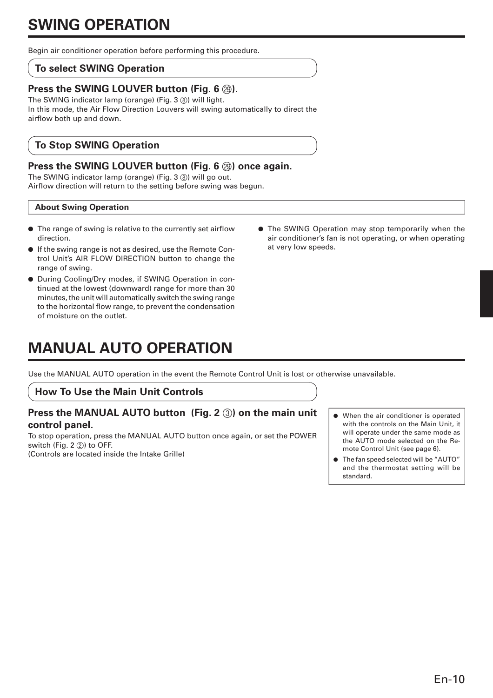Begin air conditioner operation before performing this procedure.

## **To select SWING Operation**

## **Press the SWING LOUVER button (Fig. 6**  $\textcircled{a}$ **).**

The SWING indicator lamp (orange) (Fig. 3 ®) will light. In this mode, the Air Flow Direction Louvers will swing automatically to direct the airflow both up and down.

## **To Stop SWING Operation**

## **Press the SWING LOUVER button (Fig. 6**  $\circledS$ **) once again.**

The SWING indicator lamp (orange) (Fig. 3 ®) will go out. Airflow direction will return to the setting before swing was begun.

#### **About Swing Operation**

- The range of swing is relative to the currently set airflow direction.
- If the swing range is not as desired, use the Remote Control Unit's AIR FLOW DIRECTION button to change the range of swing.
- During Cooling/Dry modes, if SWING Operation in continued at the lowest (downward) range for more than 30 minutes, the unit will automatically switch the swing range to the horizontal flow range, to prevent the condensation of moisture on the outlet.
- at very low speeds.

● The SWING Operation may stop temporarily when the air conditioner's fan is not operating, or when operating

# **MANUAL AUTO OPERATION**

Use the MANUAL AUTO operation in the event the Remote Control Unit is lost or otherwise unavailable.

#### **How To Use the Main Unit Controls**

## **Press the MANUAL AUTO button (Fig. 2 3) on the main unit control panel.**

To stop operation, press the MANUAL AUTO button once again, or set the POWER switch (Fig. 2 2) to OFF. (Controls are located inside the Intake Grille)

- When the air conditioner is operated with the controls on the Main Unit, it will operate under the same mode as the AUTO mode selected on the Remote Control Unit (see page 6).
- The fan speed selected will be "AUTO" and the thermostat setting will be standard.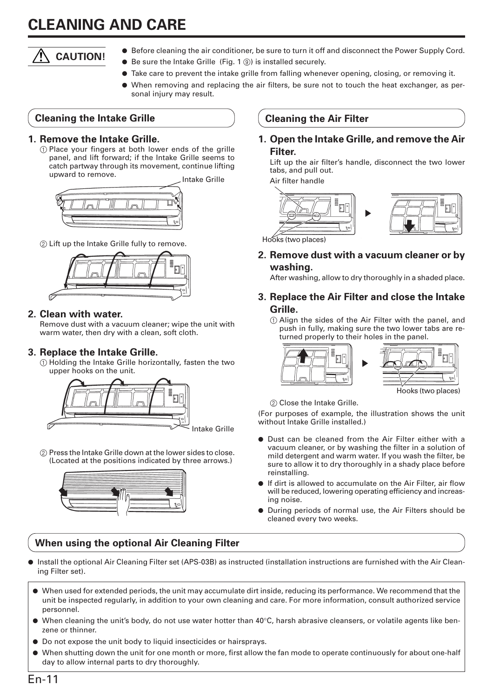# **CLEANING AND CARE**

# **CAUTION!**

- Before cleaning the air conditioner, be sure to turn it off and disconnect the Power Supply Cord.
- $\bullet$  Be sure the Intake Grille (Fig. 1  $\circledS$ ) is installed securely.
- Take care to prevent the intake grille from falling whenever opening, closing, or removing it.
- When removing and replacing the air filters, be sure not to touch the heat exchanger, as personal injury may result.

## **Cleaning the Intake Grille**

### **1. Remove the Intake Grille.**

1 Place your fingers at both lower ends of the grille panel, and lift forward; if the Intake Grille seems to catch partway through its movement, continue lifting upward to remove.



2 Lift up the Intake Grille fully to remove.



## **2. Clean with water.**

Remove dust with a vacuum cleaner; wipe the unit with warm water, then dry with a clean, soft cloth.

## **3. Replace the Intake Grille.**

1 Holding the Intake Grille horizontally, fasten the two upper hooks on the unit.



2 Press the Intake Grille down at the lower sides to close. (Located at the positions indicated by three arrows.)



## **When using the optional Air Cleaning Filter**

**Cleaning the Air Filter**

### **1. Open the Intake Grille, and remove the Air Filter.**

Lift up the air filter's handle, disconnect the two lower tabs, and pull out.

Intake Grille **Air filter handle** 





Hooks (two places)

**2. Remove dust with a vacuum cleaner or by washing.**

After washing, allow to dry thoroughly in a shaded place.

## **3. Replace the Air Filter and close the Intake Grille.**

1 Align the sides of the Air Filter with the panel, and push in fully, making sure the two lower tabs are returned properly to their holes in the panel.





Hooks (two places)

2 Close the Intake Grille.

(For purposes of example, the illustration shows the unit without Intake Grille installed.)

- Dust can be cleaned from the Air Filter either with a vacuum cleaner, or by washing the filter in a solution of mild detergent and warm water. If you wash the filter, be sure to allow it to dry thoroughly in a shady place before reinstalling.
- If dirt is allowed to accumulate on the Air Filter, air flow will be reduced, lowering operating efficiency and increasing noise.
- During periods of normal use, the Air Filters should be cleaned every two weeks.
- Install the optional Air Cleaning Filter set (APS-03B) as instructed (installation instructions are furnished with the Air Cleaning Filter set).
- When used for extended periods, the unit may accumulate dirt inside, reducing its performance. We recommend that the unit be inspected regularly, in addition to your own cleaning and care. For more information, consult authorized service personnel.
- When cleaning the unit's body, do not use water hotter than 40°C, harsh abrasive cleansers, or volatile agents like benzene or thinner.
- Do not expose the unit body to liquid insecticides or hairsprays.
- When shutting down the unit for one month or more, first allow the fan mode to operate continuously for about one-half day to allow internal parts to dry thoroughly.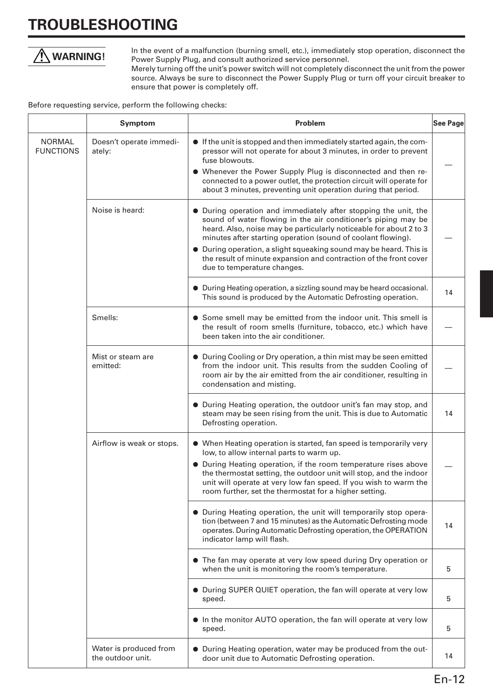# **TROUBLESHOOTING**



In the event of a malfunction (burning smell, etc.), immediately stop operation, disconnect the Power Supply Plug, and consult authorized service personnel.

Merely turning off the unit's power switch will not completely disconnect the unit from the power source. Always be sure to disconnect the Power Supply Plug or turn off your circuit breaker to ensure that power is completely off.

Before requesting service, perform the following checks:

|                                   | <b>Symptom</b>                              | Problem                                                                                                                                                                                                                                                                                                                                                                                                                                          | See Page |
|-----------------------------------|---------------------------------------------|--------------------------------------------------------------------------------------------------------------------------------------------------------------------------------------------------------------------------------------------------------------------------------------------------------------------------------------------------------------------------------------------------------------------------------------------------|----------|
| <b>NORMAL</b><br><b>FUNCTIONS</b> | Doesn't operate immedi-<br>ately:           | • If the unit is stopped and then immediately started again, the com-<br>pressor will not operate for about 3 minutes, in order to prevent<br>fuse blowouts.<br>• Whenever the Power Supply Plug is disconnected and then re-<br>connected to a power outlet, the protection circuit will operate for<br>about 3 minutes, preventing unit operation during that period.                                                                          |          |
|                                   | Noise is heard:                             | • During operation and immediately after stopping the unit, the<br>sound of water flowing in the air conditioner's piping may be<br>heard. Also, noise may be particularly noticeable for about 2 to 3<br>minutes after starting operation (sound of coolant flowing).<br>• During operation, a slight squeaking sound may be heard. This is<br>the result of minute expansion and contraction of the front cover<br>due to temperature changes. |          |
|                                   |                                             | • During Heating operation, a sizzling sound may be heard occasional.<br>This sound is produced by the Automatic Defrosting operation.                                                                                                                                                                                                                                                                                                           | 14       |
|                                   | Smells:                                     | • Some smell may be emitted from the indoor unit. This smell is<br>the result of room smells (furniture, tobacco, etc.) which have<br>been taken into the air conditioner.                                                                                                                                                                                                                                                                       |          |
|                                   | Mist or steam are<br>emitted:               | • During Cooling or Dry operation, a thin mist may be seen emitted<br>from the indoor unit. This results from the sudden Cooling of<br>room air by the air emitted from the air conditioner, resulting in<br>condensation and misting.                                                                                                                                                                                                           |          |
|                                   |                                             | • During Heating operation, the outdoor unit's fan may stop, and<br>steam may be seen rising from the unit. This is due to Automatic<br>Defrosting operation.                                                                                                                                                                                                                                                                                    | 14       |
|                                   | Airflow is weak or stops.                   | • When Heating operation is started, fan speed is temporarily very<br>low, to allow internal parts to warm up.<br>• During Heating operation, if the room temperature rises above<br>the thermostat setting, the outdoor unit will stop, and the indoor<br>unit will operate at very low fan speed. If you wish to warm the<br>room further, set the thermostat for a higher setting.                                                            |          |
|                                   |                                             | • During Heating operation, the unit will temporarily stop opera-<br>tion (between 7 and 15 minutes) as the Automatic Defrosting mode<br>operates. During Automatic Defrosting operation, the OPERATION<br>indicator lamp will flash.                                                                                                                                                                                                            | 14       |
|                                   |                                             | • The fan may operate at very low speed during Dry operation or<br>when the unit is monitoring the room's temperature.                                                                                                                                                                                                                                                                                                                           | 5        |
|                                   |                                             | • During SUPER QUIET operation, the fan will operate at very low<br>speed.                                                                                                                                                                                                                                                                                                                                                                       | 5        |
|                                   |                                             | In the monitor AUTO operation, the fan will operate at very low<br>speed.                                                                                                                                                                                                                                                                                                                                                                        | 5        |
|                                   | Water is produced from<br>the outdoor unit. | • During Heating operation, water may be produced from the out-<br>door unit due to Automatic Defrosting operation.                                                                                                                                                                                                                                                                                                                              | 14       |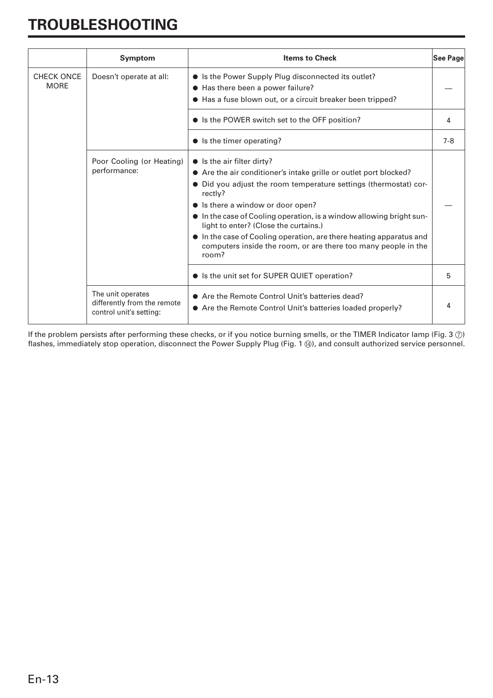# **TROUBLESHOOTING**

|                                  | <b>Symptom</b>                                                              | <b>Items to Check</b>                                                                                                                                                                                                                                                                                                                                                                                                                                                                        | See Page |
|----------------------------------|-----------------------------------------------------------------------------|----------------------------------------------------------------------------------------------------------------------------------------------------------------------------------------------------------------------------------------------------------------------------------------------------------------------------------------------------------------------------------------------------------------------------------------------------------------------------------------------|----------|
| <b>CHECK ONCE</b><br><b>MORE</b> | Doesn't operate at all:                                                     | • Is the Power Supply Plug disconnected its outlet?<br>• Has there been a power failure?<br>• Has a fuse blown out, or a circuit breaker been tripped?                                                                                                                                                                                                                                                                                                                                       |          |
|                                  |                                                                             | • Is the POWER switch set to the OFF position?                                                                                                                                                                                                                                                                                                                                                                                                                                               | 4        |
|                                  |                                                                             | $\bullet$ Is the timer operating?                                                                                                                                                                                                                                                                                                                                                                                                                                                            | $7-8$    |
|                                  | Poor Cooling (or Heating)<br>performance:                                   | $\bullet$ Is the air filter dirty?<br>• Are the air conditioner's intake grille or outlet port blocked?<br>• Did you adjust the room temperature settings (thermostat) cor-<br>rectly?<br>• Is there a window or door open?<br>• In the case of Cooling operation, is a window allowing bright sun-<br>light to enter? (Close the curtains.)<br>In the case of Cooling operation, are there heating apparatus and<br>computers inside the room, or are there too many people in the<br>room? |          |
|                                  | • Is the unit set for SUPER QUIET operation?                                | 5                                                                                                                                                                                                                                                                                                                                                                                                                                                                                            |          |
|                                  | The unit operates<br>differently from the remote<br>control unit's setting: | • Are the Remote Control Unit's batteries dead?<br>• Are the Remote Control Unit's batteries loaded properly?                                                                                                                                                                                                                                                                                                                                                                                | 4        |

If the problem persists after performing these checks, or if you notice burning smells, or the TIMER Indicator lamp (Fig. 3  $\circled{2}$ ) flashes, immediately stop operation, disconnect the Power Supply Plug (Fig. 1  $\circledA$ ), and consult authorized service personnel.